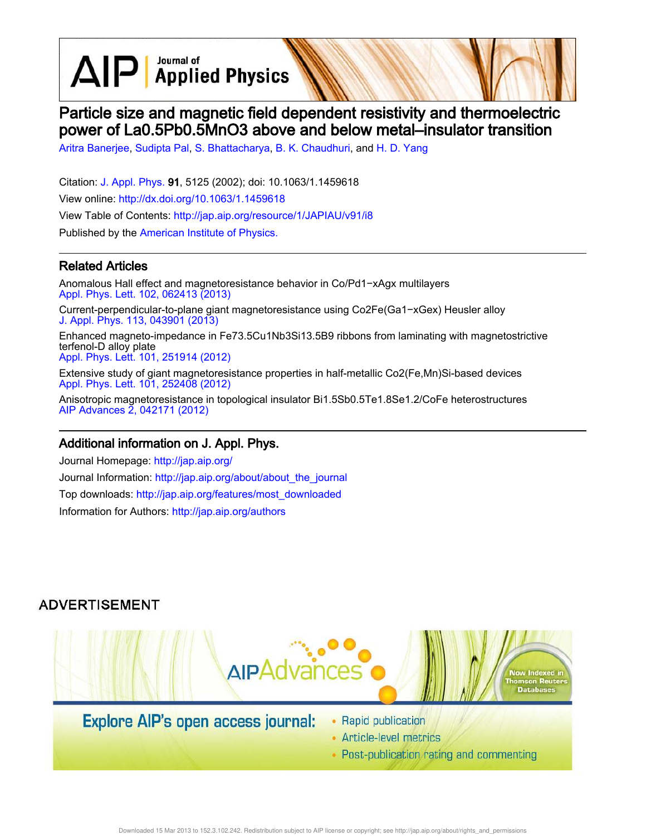$\text{AlP}$  Applied Physics

# Particle size and magnetic field dependent resistivity and thermoelectric power of La0.5Pb0.5MnO3 above and below metal–insulator transition

Aritra Banerjee, Sudipta Pal, S. Bhattacharya, B. K. Chaudhuri, and H. D. Yang

Citation: J. Appl. Phys. 91, 5125 (2002); doi: 10.1063/1.1459618 View online: http://dx.doi.org/10.1063/1.1459618 View Table of Contents: http://jap.aip.org/resource/1/JAPIAU/v91/i8 Published by the American Institute of Physics.

### Related Articles

Anomalous Hall effect and magnetoresistance behavior in Co/Pd1−xAgx multilayers Appl. Phys. Lett. 102, 062413 (2013)

Current-perpendicular-to-plane giant magnetoresistance using Co2Fe(Ga1−xGex) Heusler alloy J. Appl. Phys. 113, 043901 (2013)

Enhanced magneto-impedance in Fe73.5Cu1Nb3Si13.5B9 ribbons from laminating with magnetostrictive terfenol-D alloy plate

Appl. Phys. Lett. 101, 251914 (2012)

Extensive study of giant magnetoresistance properties in half-metallic Co2(Fe,Mn)Si-based devices Appl. Phys. Lett. 101, 252408 (2012)

Anisotropic magnetoresistance in topological insulator Bi1.5Sb0.5Te1.8Se1.2/CoFe heterostructures AIP Advances 2, 042171 (2012)

### Additional information on J. Appl. Phys.

Journal Homepage: http://jap.aip.org/ Journal Information: http://jap.aip.org/about/about\_the\_journal Top downloads: http://jap.aip.org/features/most\_downloaded Information for Authors: http://jap.aip.org/authors

## **ADVERTISEMENT**



# **Explore AIP's open access journal:**

- Rapid publication
- Article-level metrics
- Post-publication rating and commenting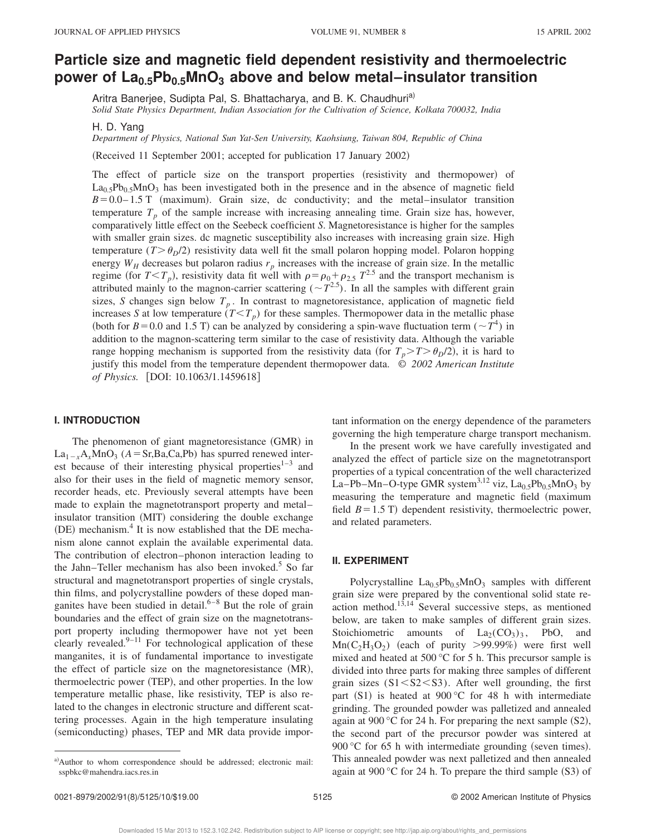## **Particle size and magnetic field dependent resistivity and thermoelectric power of La0.5Pb0.5MnO<sup>3</sup> above and below metal–insulator transition**

Aritra Banerjee, Sudipta Pal, S. Bhattacharya, and B. K. Chaudhuri<sup>a)</sup>

*Solid State Physics Department, Indian Association for the Cultivation of Science, Kolkata 700032, India*

H. D. Yang

*Department of Physics, National Sun Yat-Sen University, Kaohsiung, Taiwan 804, Republic of China*

(Received 11 September 2001; accepted for publication 17 January 2002)

The effect of particle size on the transport properties (resistivity and thermopower) of  $La<sub>0.5</sub>Pb<sub>0.5</sub>MnO<sub>3</sub>$  has been investigated both in the presence and in the absence of magnetic field  $B=0.0-1.5$  T (maximum). Grain size, dc conductivity; and the metal–insulator transition temperature  $T_p$  of the sample increase with increasing annealing time. Grain size has, however, comparatively little effect on the Seebeck coefficient *S*. Magnetoresistance is higher for the samples with smaller grain sizes. dc magnetic susceptibility also increases with increasing grain size. High temperature  $(T > \theta_p/2)$  resistivity data well fit the small polaron hopping model. Polaron hopping energy  $W_H$  decreases but polaron radius  $r_p$  increases with the increase of grain size. In the metallic regime (for  $T < T_p$ ), resistivity data fit well with  $\rho = \rho_0 + \rho_{2.5} T^{2.5}$  and the transport mechanism is attributed mainly to the magnon-carrier scattering  $({\sim}T^{2.5})$ . In all the samples with different grain sizes, *S* changes sign below  $T_p$ . In contrast to magnetoresistance, application of magnetic field increases *S* at low temperature  $(T \leq T_p)$  for these samples. Thermopower data in the metallic phase (both for  $B = 0.0$  and 1.5 T) can be analyzed by considering a spin-wave fluctuation term ( $\sim T^4$ ) in addition to the magnon-scattering term similar to the case of resistivity data. Although the variable range hopping mechanism is supported from the resistivity data (for  $T_p > T > \theta_p/2$ ), it is hard to justify this model from the temperature dependent thermopower data. © *2002 American Institute of Physics.* [DOI: 10.1063/1.1459618]

#### **I. INTRODUCTION**

The phenomenon of giant magnetoresistance (GMR) in  $La_{1-x}A_xMnO_3$  ( $A = Sr$ ,Ba,Ca,Pb) has spurred renewed interest because of their interesting physical properties<sup>1–3</sup> and also for their uses in the field of magnetic memory sensor, recorder heads, etc. Previously several attempts have been made to explain the magnetotransport property and metal– insulator transition (MIT) considering the double exchange (DE) mechanism.<sup>4</sup> It is now established that the DE mechanism alone cannot explain the available experimental data. The contribution of electron–phonon interaction leading to the Jahn–Teller mechanism has also been invoked.<sup>5</sup> So far structural and magnetotransport properties of single crystals, thin films, and polycrystalline powders of these doped manganites have been studied in detail. $6-8$  But the role of grain boundaries and the effect of grain size on the magnetotransport property including thermopower have not yet been clearly revealed. $9-11$  For technological application of these manganites, it is of fundamental importance to investigate the effect of particle size on the magnetoresistance  $(MR)$ , thermoelectric power (TEP), and other properties. In the low temperature metallic phase, like resistivity, TEP is also related to the changes in electronic structure and different scattering processes. Again in the high temperature insulating (semiconducting) phases, TEP and MR data provide important information on the energy dependence of the parameters governing the high temperature charge transport mechanism.

In the present work we have carefully investigated and analyzed the effect of particle size on the magnetotransport properties of a typical concentration of the well characterized La–Pb–Mn–O-type GMR system<sup>3,12</sup> viz, La<sub>0.5</sub>Pb<sub>0.5</sub>MnO<sub>3</sub> by measuring the temperature and magnetic field (maximum field  $B=1.5$  T) dependent resistivity, thermoelectric power, and related parameters.

#### **II. EXPERIMENT**

Polycrystalline  $La<sub>0.5</sub>Pb<sub>0.5</sub>MnO<sub>3</sub>$  samples with different grain size were prepared by the conventional solid state reaction method.<sup>13,14</sup> Several successive steps, as mentioned below, are taken to make samples of different grain sizes. Stoichiometric amounts of  $La_2(CO_3)_3$ , PbO, and  $\text{Mn}(C_2H_3O_2)$  (each of purity >99.99%) were first well mixed and heated at 500 °C for 5 h. This precursor sample is divided into three parts for making three samples of different grain sizes  $(S1 \le S2 \le S3)$ . After well grounding, the first part  $(S1)$  is heated at 900 °C for 48 h with intermediate grinding. The grounded powder was palletized and annealed again at 900 °C for 24 h. For preparing the next sample  $(S2)$ , the second part of the precursor powder was sintered at 900 °C for 65 h with intermediate grounding (seven times). This annealed powder was next palletized and then annealed again at 900 °C for 24 h. To prepare the third sample  $(S3)$  of

a)Author to whom correspondence should be addressed; electronic mail: sspbkc@mahendra.iacs.res.in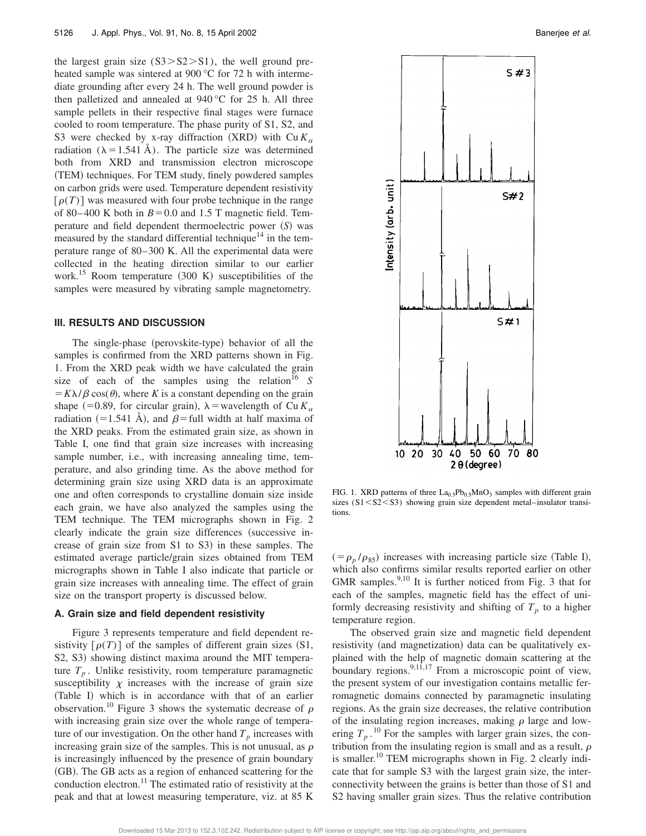the largest grain size  $(S3 > S2 > S1)$ , the well ground preheated sample was sintered at 900 °C for 72 h with intermediate grounding after every 24 h. The well ground powder is then palletized and annealed at 940 °C for 25 h. All three sample pellets in their respective final stages were furnace cooled to room temperature. The phase purity of S1, S2, and S3 were checked by x-ray diffraction (XRD) with  $Cu K_{\alpha}$ radiation ( $\lambda = 1.541$  Å). The particle size was determined both from XRD and transmission electron microscope (TEM) techniques. For TEM study, finely powdered samples on carbon grids were used. Temperature dependent resistivity  $\lceil \rho(T) \rceil$  was measured with four probe technique in the range of 80–400 K both in  $B=0.0$  and 1.5 T magnetic field. Temperature and field dependent thermoelectric power (S) was measured by the standard differential technique<sup>14</sup> in the temperature range of 80–300 K. All the experimental data were collected in the heating direction similar to our earlier work.<sup>15</sup> Room temperature  $(300 \text{ K})$  susceptibilities of the samples were measured by vibrating sample magnetometry.

#### **III. RESULTS AND DISCUSSION**

The single-phase (perovskite-type) behavior of all the samples is confirmed from the XRD patterns shown in Fig. 1. From the XRD peak width we have calculated the grain size of each of the samples using the relation<sup>16</sup> *S*  $= K\lambda/\beta \cos(\theta)$ , where *K* is a constant depending on the grain shape  $(=0.89,$  for circular grain),  $\lambda$  = wavelength of Cu  $K_a$ radiation (=1.541 Å), and  $\beta$ = full width at half maxima of the XRD peaks. From the estimated grain size, as shown in Table I, one find that grain size increases with increasing sample number, i.e., with increasing annealing time, temperature, and also grinding time. As the above method for determining grain size using XRD data is an approximate one and often corresponds to crystalline domain size inside each grain, we have also analyzed the samples using the TEM technique. The TEM micrographs shown in Fig. 2 clearly indicate the grain size differences (successive increase of grain size from  $S1$  to  $S3$ ) in these samples. The estimated average particle/grain sizes obtained from TEM micrographs shown in Table I also indicate that particle or grain size increases with annealing time. The effect of grain size on the transport property is discussed below.

#### **A. Grain size and field dependent resistivity**

Figure 3 represents temperature and field dependent resistivity  $\lceil \rho(T) \rceil$  of the samples of different grain sizes (S1, S2, S3) showing distinct maxima around the MIT temperature  $T_p$ . Unlike resistivity, room temperature paramagnetic susceptibility  $\chi$  increases with the increase of grain size (Table I) which is in accordance with that of an earlier observation.<sup>10</sup> Figure 3 shows the systematic decrease of  $\rho$ with increasing grain size over the whole range of temperature of our investigation. On the other hand  $T_p$  increases with increasing grain size of the samples. This is not unusual, as  $\rho$ is increasingly influenced by the presence of grain boundary (GB). The GB acts as a region of enhanced scattering for the conduction electron.<sup>11</sup> The estimated ratio of resistivity at the peak and that at lowest measuring temperature, viz. at 85 K



FIG. 1. XRD patterns of three  $La<sub>0.5</sub>Pb<sub>0.5</sub>MnO<sub>3</sub>$  samples with different grain sizes  $(S1< S2< S3)$  showing grain size dependent metal–insulator transitions.

 $(= \rho_p / \rho_{85})$  increases with increasing particle size (Table I), which also confirms similar results reported earlier on other GMR samples.<sup>9,10</sup> It is further noticed from Fig. 3 that for each of the samples, magnetic field has the effect of uniformly decreasing resistivity and shifting of  $T_p$  to a higher temperature region.

The observed grain size and magnetic field dependent resistivity (and magnetization) data can be qualitatively explained with the help of magnetic domain scattering at the boundary regions.  $9,1\overline{1},17$  From a microscopic point of view, the present system of our investigation contains metallic ferromagnetic domains connected by paramagnetic insulating regions. As the grain size decreases, the relative contribution of the insulating region increases, making  $\rho$  large and lowering  $T_p$ .<sup>10</sup> For the samples with larger grain sizes, the contribution from the insulating region is small and as a result,  $\rho$ is smaller.<sup>10</sup> TEM micrographs shown in Fig. 2 clearly indicate that for sample S3 with the largest grain size, the interconnectivity between the grains is better than those of S1 and S2 having smaller grain sizes. Thus the relative contribution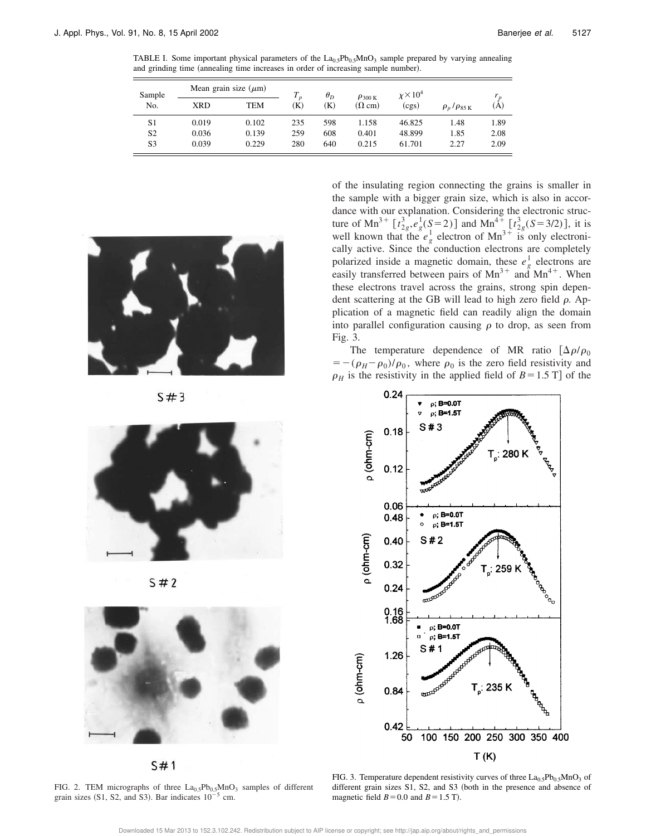TABLE I. Some important physical parameters of the  $La<sub>0.5</sub>Pb<sub>0.5</sub>MnO<sub>3</sub>$  sample prepared by varying annealing and grinding time (annealing time increases in order of increasing sample number).

| Sample         | Mean grain size $(\mu m)$ |       |                         | $\theta_D$ | $\rho_{300\,\mathrm{K}}$ | $\chi\times10^4$ |                                |      |
|----------------|---------------------------|-------|-------------------------|------------|--------------------------|------------------|--------------------------------|------|
| No.            | <b>XRD</b>                | TEM   | $\boldsymbol{D}$<br>(K) | K)         | $(\Omega$ cm)            | (cgs)            | $\rho_p/\rho_{85\,\mathrm{K}}$ | (A)  |
| S1             | 0.019                     | 0.102 | 235                     | 598        | 1.158                    | 46.825           | 1.48                           | 1.89 |
| S2             | 0.036                     | 0.139 | 259                     | 608        | 0.401                    | 48.899           | 1.85                           | 2.08 |
| S <sub>3</sub> | 0.039                     | 0.229 | 280                     | 640        | 0.215                    | 61.701           | 2.27                           | 2.09 |



 $S#3$ 



 $5#2$ 



 $S#1$ 

FIG. 2. TEM micrographs of three  $La<sub>0.5</sub>Pb<sub>0.5</sub>MnO<sub>3</sub>$  samples of different grain sizes (S1, S2, and S3). Bar indicates  $10^{-5}$  cm.

of the insulating region connecting the grains is smaller in the sample with a bigger grain size, which is also in accordance with our explanation. Considering the electronic structure of Mn<sup>3+</sup>  $\left[t_{2g}^{3}, e_g^1(S=2)\right]$  and Mn<sup>4+</sup>  $\left[t_{2g}^{3}(S=3/2)\right]$ , it is well known that the  $e^{\int_{g}^{1} e^{1} \cdot e^{1} \cdot e^{1}}$  electron of Mn<sup>3+</sup> is only electronically active. Since the conduction electrons are completely polarized inside a magnetic domain, these  $e_g^1$  electrons are easily transferred between pairs of  $Mn^{3+}$  and  $Mn^{4+}$ . When these electrons travel across the grains, strong spin dependent scattering at the GB will lead to high zero field  $\rho$ . Application of a magnetic field can readily align the domain into parallel configuration causing  $\rho$  to drop, as seen from Fig. 3.

The temperature dependence of MR ratio  $\left[\Delta \rho/\rho_0\right]$  $=-(\rho_H-\rho_0)/\rho_0$ , where  $\rho_0$  is the zero field resistivity and  $\rho_H$  is the resistivity in the applied field of  $B=1.5$  T] of the

![](_page_3_Figure_13.jpeg)

FIG. 3. Temperature dependent resistivity curves of three  $La<sub>0.5</sub>Pb<sub>0.5</sub>MnO<sub>3</sub>$  of different grain sizes  $S1$ ,  $S2$ , and  $S3$  (both in the presence and absence of magnetic field  $B=0.0$  and  $B=1.5$  T).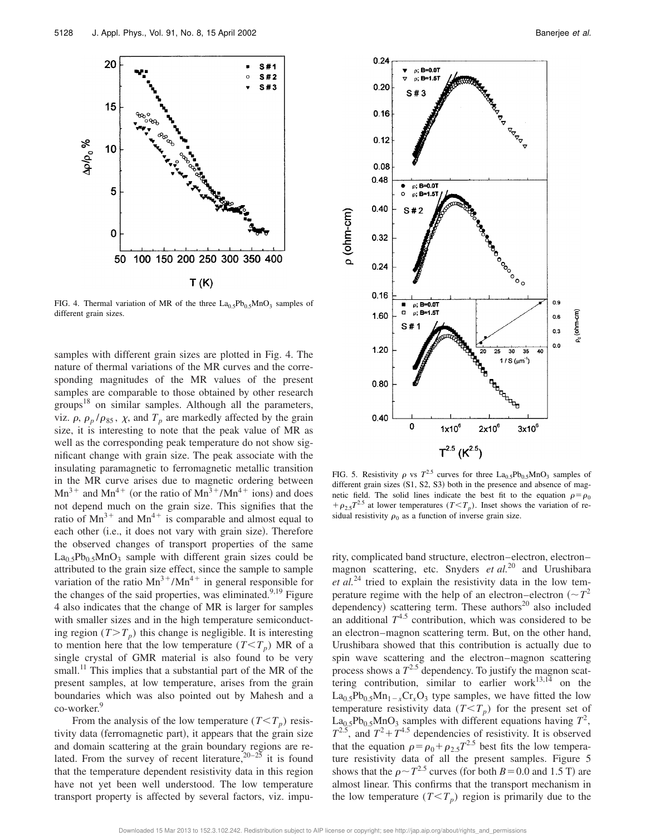![](_page_4_Figure_1.jpeg)

FIG. 4. Thermal variation of MR of the three  $La<sub>0.5</sub>Pb<sub>0.5</sub>MnO<sub>3</sub>$  samples of different grain sizes.

samples with different grain sizes are plotted in Fig. 4. The nature of thermal variations of the MR curves and the corresponding magnitudes of the MR values of the present samples are comparable to those obtained by other research groups<sup>18</sup> on similar samples. Although all the parameters, viz.  $\rho$ ,  $\rho_p / \rho_{85}$ ,  $\chi$ , and  $T_p$  are markedly affected by the grain size, it is interesting to note that the peak value of MR as well as the corresponding peak temperature do not show significant change with grain size. The peak associate with the insulating paramagnetic to ferromagnetic metallic transition in the MR curve arises due to magnetic ordering between  $Mn^{3+}$  and  $Mn^{4+}$  (or the ratio of  $Mn^{3+}/Mn^{4+}$  ions) and does not depend much on the grain size. This signifies that the ratio of  $Mn^{3+}$  and  $Mn^{4+}$  is comparable and almost equal to each other (i.e., it does not vary with grain size). Therefore the observed changes of transport properties of the same  $La<sub>0.5</sub>Pb<sub>0.5</sub>MnO<sub>3</sub>$  sample with different grain sizes could be attributed to the grain size effect, since the sample to sample variation of the ratio  $Mn^{3+}/Mn^{4+}$  in general responsible for the changes of the said properties, was eliminated. $9,19$  Figure 4 also indicates that the change of MR is larger for samples with smaller sizes and in the high temperature semiconducting region  $(T>T_p)$  this change is negligible. It is interesting to mention here that the low temperature  $(T < T_p)$  MR of a single crystal of GMR material is also found to be very small.<sup>11</sup> This implies that a substantial part of the MR of the present samples, at low temperature, arises from the grain boundaries which was also pointed out by Mahesh and a co-worker.<sup>9</sup>

From the analysis of the low temperature  $(T < T_p)$  resistivity data (ferromagnetic part), it appears that the grain size and domain scattering at the grain boundary regions are related. From the survey of recent literature,  $20-25$  it is found that the temperature dependent resistivity data in this region have not yet been well understood. The low temperature transport property is affected by several factors, viz. impu-

![](_page_4_Figure_6.jpeg)

FIG. 5. Resistivity  $\rho$  vs  $T^{2.5}$  curves for three  $La_{0.5}Pb_{0.5}MnO_3$  samples of different grain sizes  $(S1, S2, S3)$  both in the presence and absence of magnetic field. The solid lines indicate the best fit to the equation  $\rho = \rho_0$  $+\rho_{2.5}T^{2.5}$  at lower temperatures (*T*<*T<sub>p</sub>*). Inset shows the variation of residual resistivity  $\rho_0$  as a function of inverse grain size.

rity, complicated band structure, electron–electron, electron– magnon scattering, etc. Snyders *et al.*<sup>20</sup> and Urushibara *et al.*<sup>24</sup> tried to explain the resistivity data in the low temperature regime with the help of an electron–electron ( $\sim T^2$ ) dependency) scattering term. These authors<sup>20</sup> also included an additional  $T^{4.5}$  contribution, which was considered to be an electron–magnon scattering term. But, on the other hand, Urushibara showed that this contribution is actually due to spin wave scattering and the electron–magnon scattering process shows a  $T^{2.5}$  dependency. To justify the magnon scattering contribution, similar to earlier work $13,14$  on the  $La<sub>0.5</sub>Pb<sub>0.5</sub>Mn<sub>1-x</sub>Cr<sub>x</sub>O<sub>3</sub>$  type samples, we have fitted the low temperature resistivity data  $(T < T_p)$  for the present set of  $\text{La}_{0.5}\text{Pb}_{0.5}\text{MnO}_3$  samples with different equations having  $T^2$ ,  $T^{2.5}$ , and  $T^2 + T^{4.5}$  dependencies of resistivity. It is observed that the equation  $\rho = \rho_0 + \rho_{2.5}T^{2.5}$  best fits the low temperature resistivity data of all the present samples. Figure 5 shows that the  $\rho \sim T^{2.5}$  curves (for both  $B = 0.0$  and 1.5 T) are almost linear. This confirms that the transport mechanism in the low temperature  $(T < T_p)$  region is primarily due to the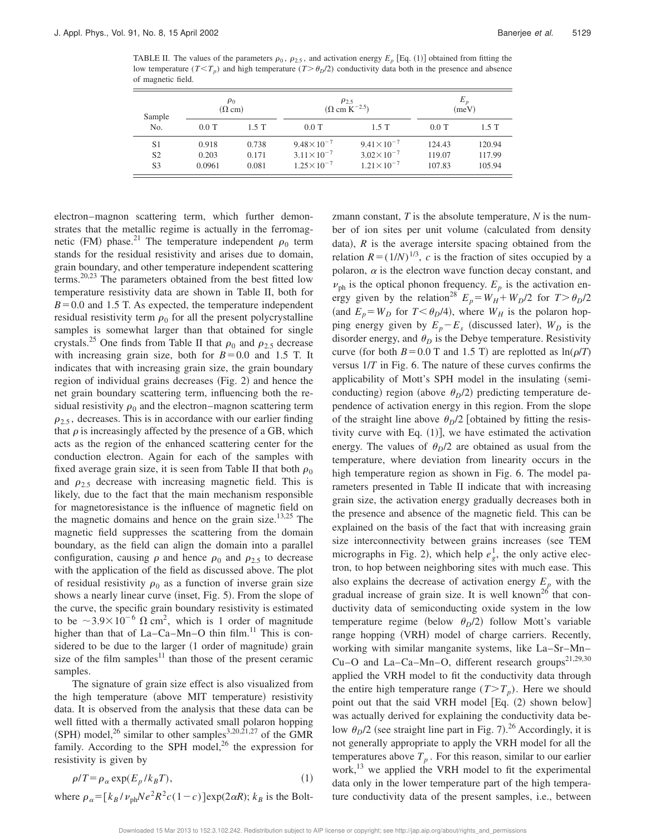TABLE II. The values of the parameters  $\rho_0$ ,  $\rho_{2.5}$ , and activation energy  $E_p$  [Eq. (1)] obtained from fitting the low temperature  $(T \leq T_p)$  and high temperature  $(T \geq \theta_p/2)$  conductivity data both in the presence and absence of magnetic field.

| Sample         | $\rho_0$<br>$(\Omega$ cm) |       | $\rho_{2.5}$<br>$(\Omega \text{ cm K}^{-2.5})$ |                       | $E_{p}$<br>(meV) |        |
|----------------|---------------------------|-------|------------------------------------------------|-----------------------|------------------|--------|
| No.            | $0.0$ T                   | 1.5T  | $0.0$ T                                        | 1.5T                  | $0.0$ T          | 1.5T   |
| S <sub>1</sub> | 0.918                     | 0.738 | $9.48 \times 10^{-7}$                          | $9.41 \times 10^{-7}$ | 124.43           | 120.94 |
| S <sub>2</sub> | 0.203                     | 0.171 | $3.11 \times 10^{-7}$                          | $3.02 \times 10^{-7}$ | 119.07           | 117.99 |
| S3             | 0.0961                    | 0.081 | $1.25 \times 10^{-7}$                          | $1.21 \times 10^{-7}$ | 107.83           | 105.94 |

electron–magnon scattering term, which further demonstrates that the metallic regime is actually in the ferromagnetic (FM) phase.<sup>21</sup> The temperature independent  $\rho_0$  term stands for the residual resistivity and arises due to domain, grain boundary, and other temperature independent scattering terms.20,23 The parameters obtained from the best fitted low temperature resistivity data are shown in Table II, both for  $B=0.0$  and 1.5 T. As expected, the temperature independent residual resistivity term  $\rho_0$  for all the present polycrystalline samples is somewhat larger than that obtained for single crystals.<sup>25</sup> One finds from Table II that  $\rho_0$  and  $\rho_{2.5}$  decrease with increasing grain size, both for  $B=0.0$  and 1.5 T. It indicates that with increasing grain size, the grain boundary region of individual grains decreases  $(Fig. 2)$  and hence the net grain boundary scattering term, influencing both the residual resistivity  $\rho_0$  and the electron–magnon scattering term  $\rho_{2.5}$ , decreases. This is in accordance with our earlier finding that  $\rho$  is increasingly affected by the presence of a GB, which acts as the region of the enhanced scattering center for the conduction electron. Again for each of the samples with fixed average grain size, it is seen from Table II that both  $\rho_0$ and  $\rho_{2.5}$  decrease with increasing magnetic field. This is likely, due to the fact that the main mechanism responsible for magnetoresistance is the influence of magnetic field on the magnetic domains and hence on the grain size.<sup>13,25</sup> The magnetic field suppresses the scattering from the domain boundary, as the field can align the domain into a parallel configuration, causing  $\rho$  and hence  $\rho_0$  and  $\rho_{2.5}$  to decrease with the application of the field as discussed above. The plot of residual resistivity  $\rho_0$  as a function of inverse grain size shows a nearly linear curve (inset, Fig. 5). From the slope of the curve, the specific grain boundary resistivity is estimated to be  $\sim 3.9 \times 10^{-6} \Omega \text{ cm}^2$ , which is 1 order of magnitude higher than that of  $La-Ca-Mn-O$  thin film.<sup>11</sup> This is considered to be due to the larger  $(1 \text{ order of magnitude})$  grain size of the film samples<sup>11</sup> than those of the present ceramic samples.

The signature of grain size effect is also visualized from the high temperature (above MIT temperature) resistivity data. It is observed from the analysis that these data can be well fitted with a thermally activated small polaron hopping (SPH) model,<sup>26</sup> similar to other samples<sup>3,20,21,27</sup> of the GMR family. According to the SPH model, $^{26}$  the expression for resistivity is given by

$$
\rho/T = \rho_{\alpha} \exp(E_p / k_B T),\tag{1}
$$

where  $\rho_{\alpha} = [k_B / \nu_{ph}Ne^2R^2c(1-c)]\exp(2\alpha R)$ ;  $k_B$  is the Bolt-

zmann constant, *T* is the absolute temperature, *N* is the number of ion sites per unit volume (calculated from density data),  $R$  is the average intersite spacing obtained from the relation  $R = (1/N)^{1/3}$ , *c* is the fraction of sites occupied by a polaron,  $\alpha$  is the electron wave function decay constant, and  $\nu_{ph}$  is the optical phonon frequency.  $E_p$  is the activation energy given by the relation<sup>28</sup>  $E_p = W_H + W_D/2$  for  $T > \theta_D/2$ (and  $E_p = W_D$  for  $T \le \theta_D/4$ ), where  $W_H$  is the polaron hopping energy given by  $E_p - E_s$  (discussed later),  $W_D$  is the disorder energy, and  $\theta_D$  is the Debye temperature. Resistivity curve (for both  $B=0.0$  T and 1.5 T) are replotted as  $ln(\rho/T)$ versus 1/*T* in Fig. 6. The nature of these curves confirms the applicability of Mott's SPH model in the insulating (semiconducting) region (above  $\theta_D/2$ ) predicting temperature dependence of activation energy in this region. From the slope of the straight line above  $\theta_p/2$  [obtained by fitting the resistivity curve with Eq.  $(1)$ , we have estimated the activation energy. The values of  $\theta_D/2$  are obtained as usual from the temperature, where deviation from linearity occurs in the high temperature region as shown in Fig. 6. The model parameters presented in Table II indicate that with increasing grain size, the activation energy gradually decreases both in the presence and absence of the magnetic field. This can be explained on the basis of the fact that with increasing grain size interconnectivity between grains increases (see TEM micrographs in Fig. 2), which help  $e_g^1$ , the only active electron, to hop between neighboring sites with much ease. This also explains the decrease of activation energy  $E_p$  with the gradual increase of grain size. It is well known<sup>26</sup> that conductivity data of semiconducting oxide system in the low temperature regime (below  $\theta_D/2$ ) follow Mott's variable range hopping (VRH) model of charge carriers. Recently, working with similar manganite systems, like La–Sr–Mn– Cu–O and La–Ca–Mn–O, different research groups<sup>21,29,30</sup> applied the VRH model to fit the conductivity data through the entire high temperature range  $(T>T_p)$ . Here we should point out that the said VRH model [Eq.  $(2)$  shown below] was actually derived for explaining the conductivity data below  $\theta_D/2$  (see straight line part in Fig. 7).<sup>26</sup> Accordingly, it is not generally appropriate to apply the VRH model for all the temperatures above  $T_p$ . For this reason, similar to our earlier work,<sup>13</sup> we applied the VRH model to fit the experimental data only in the lower temperature part of the high temperature conductivity data of the present samples, i.e., between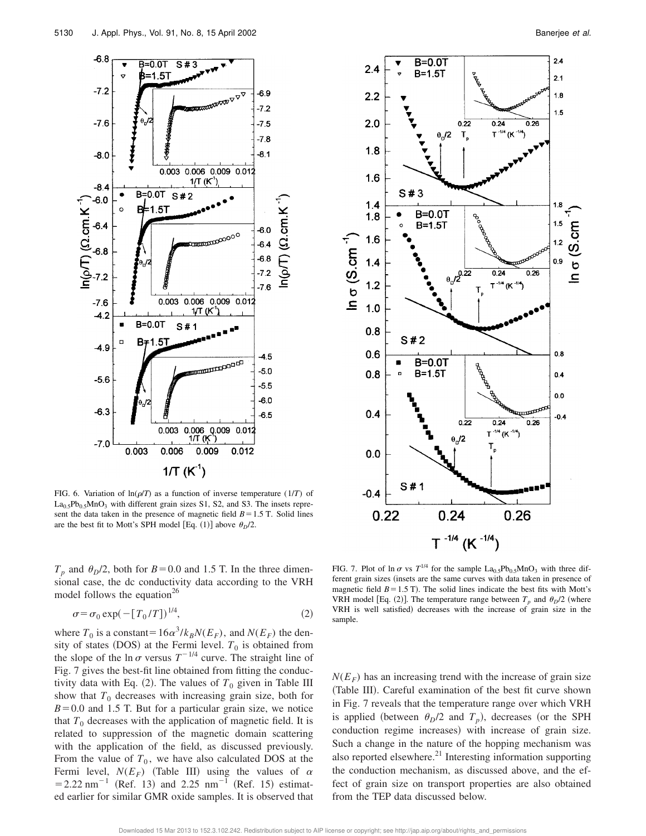![](_page_6_Figure_1.jpeg)

FIG. 6. Variation of  $ln(\rho/T)$  as a function of inverse temperature (1/*T*) of  $La<sub>0.5</sub>Pb<sub>0.5</sub>MnO<sub>3</sub>$  with different grain sizes S1, S2, and S3. The insets represent the data taken in the presence of magnetic field  $B=1.5$  T. Solid lines are the best fit to Mott's SPH model [Eq. (1)] above  $\theta_D/2$ .

 $T_p$  and  $\theta_p/2$ , both for *B* = 0.0 and 1.5 T. In the three dimensional case, the dc conductivity data according to the VRH model follows the equation<sup>26</sup>

$$
\sigma = \sigma_0 \exp(-[T_0/T])^{1/4},\tag{2}
$$

where  $T_0$  is a constant=16 $\alpha^3/k_BN(E_F)$ , and  $N(E_F)$  the density of states (DOS) at the Fermi level.  $T_0$  is obtained from the slope of the ln  $\sigma$  versus  $T^{-1/4}$  curve. The straight line of Fig. 7 gives the best-fit line obtained from fitting the conductivity data with Eq.  $(2)$ . The values of  $T_0$  given in Table III show that  $T_0$  decreases with increasing grain size, both for  $B=0.0$  and 1.5 T. But for a particular grain size, we notice that  $T_0$  decreases with the application of magnetic field. It is related to suppression of the magnetic domain scattering with the application of the field, as discussed previously. From the value of  $T_0$ , we have also calculated DOS at the Fermi level,  $N(E_F)$  (Table III) using the values of  $\alpha$  $=$  2.22 nm<sup>-1</sup> (Ref. 13) and 2.25 nm<sup>-1</sup> (Ref. 15) estimated earlier for similar GMR oxide samples. It is observed that

![](_page_6_Figure_7.jpeg)

FIG. 7. Plot of  $\ln \sigma$  vs  $T^{1/4}$  for the sample  $La_{0.5}Pb_{0.5}MnO_3$  with three different grain sizes (insets are the same curves with data taken in presence of magnetic field  $B=1.5$  T). The solid lines indicate the best fits with Mott's VRH model [Eq. (2)]. The temperature range between  $T_p$  and  $\theta_p/2$  (where VRH is well satisfied) decreases with the increase of grain size in the sample.

 $N(E_F)$  has an increasing trend with the increase of grain size (Table III). Careful examination of the best fit curve shown in Fig. 7 reveals that the temperature range over which VRH is applied (between  $\theta_D/2$  and  $T_p$ ), decreases (or the SPH conduction regime increases) with increase of grain size. Such a change in the nature of the hopping mechanism was also reported elsewhere. $^{21}$  Interesting information supporting the conduction mechanism, as discussed above, and the effect of grain size on transport properties are also obtained from the TEP data discussed below.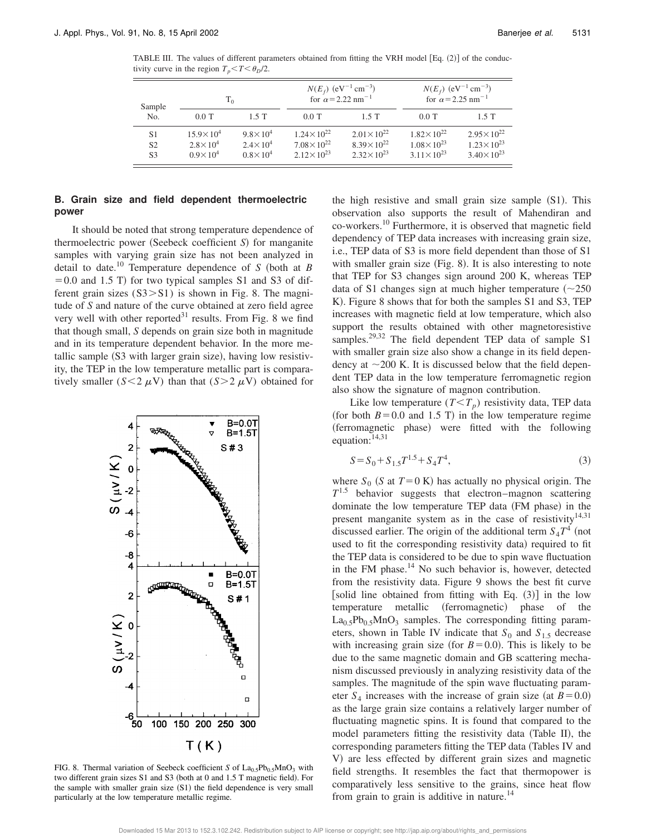TABLE III. The values of different parameters obtained from fitting the VRH model  $[Eq. (2)]$  of the conductivity curve in the region  $T_p < T < \theta_p/2$ .

| Sample         | $T_0$                |                     | $N(E_f)$ (eV <sup>-1</sup> cm <sup>-3</sup> )<br>for $\alpha$ = 2.22 nm <sup>-1</sup> |                       | $N(E_f)$ (eV <sup>-1</sup> cm <sup>-3</sup> )<br>for $\alpha$ = 2.25 nm <sup>-1</sup> |                       |
|----------------|----------------------|---------------------|---------------------------------------------------------------------------------------|-----------------------|---------------------------------------------------------------------------------------|-----------------------|
| No.            | $0.0$ T              | $1.5$ T             | $0.0$ T                                                                               | $1.5$ T               | $0.0$ T                                                                               | $1.5$ T               |
| S1             | $15.9 \times 10^{4}$ | $9.8 \times 10^{4}$ | $1.24 \times 10^{22}$                                                                 | $2.01 \times 10^{22}$ | $1.82 \times 10^{22}$                                                                 | $2.95 \times 10^{22}$ |
| S <sub>2</sub> | $2.8 \times 10^4$    | $2.4 \times 10^{4}$ | $7.08 \times 10^{22}$                                                                 | $8.39 \times 10^{22}$ | $1.08 \times 10^{23}$                                                                 | $1.23 \times 10^{23}$ |
| S <sub>3</sub> | $0.9 \times 10^{4}$  | $0.8 \times 10^{4}$ | $2.12 \times 10^{23}$                                                                 | $2.32 \times 10^{23}$ | $3.11 \times 10^{23}$                                                                 | $3.40 \times 10^{23}$ |

#### **B. Grain size and field dependent thermoelectric power**

It should be noted that strong temperature dependence of thermoelectric power (Seebeck coefficient *S*) for manganite samples with varying grain size has not been analyzed in detail to date.<sup>10</sup> Temperature dependence of  $S$  (both at  $B$  $=0.0$  and 1.5 T) for two typical samples S1 and S3 of different grain sizes  $(S3 > S1)$  is shown in Fig. 8. The magnitude of *S* and nature of the curve obtained at zero field agree very well with other reported $31$  results. From Fig. 8 we find that though small, *S* depends on grain size both in magnitude and in its temperature dependent behavior. In the more metallic sample (S3 with larger grain size), having low resistivity, the TEP in the low temperature metallic part is comparatively smaller ( $S \leq 2 \mu V$ ) than that ( $S > 2 \mu V$ ) obtained for

![](_page_7_Figure_6.jpeg)

FIG. 8. Thermal variation of Seebeck coefficient *S* of  $La<sub>0.5</sub>Pb<sub>0.5</sub>MnO<sub>3</sub>$  with two different grain sizes  $S1$  and  $S3$  (both at 0 and 1.5 T magnetic field). For the sample with smaller grain size  $(S1)$  the field dependence is very small particularly at the low temperature metallic regime.

the high resistive and small grain size sample  $(S1)$ . This observation also supports the result of Mahendiran and co-workers.<sup>10</sup> Furthermore, it is observed that magnetic field dependency of TEP data increases with increasing grain size, i.e., TEP data of S3 is more field dependent than those of S1 with smaller grain size  $(Fig. 8)$ . It is also interesting to note that TEP for S3 changes sign around 200 K, whereas TEP data of S1 changes sign at much higher temperature  $(\sim 250$ K). Figure 8 shows that for both the samples S1 and S3, TEP increases with magnetic field at low temperature, which also support the results obtained with other magnetoresistive samples.<sup>29,32</sup> The field dependent TEP data of sample S1 with smaller grain size also show a change in its field dependency at  $\sim$  200 K. It is discussed below that the field dependent TEP data in the low temperature ferromagnetic region also show the signature of magnon contribution.

Like low temperature  $(T < T_p)$  resistivity data, TEP data (for both  $B=0.0$  and 1.5 T) in the low temperature regime (ferromagnetic phase) were fitted with the following equation:<sup>14,31</sup>

$$
S = S_0 + S_{1.5}T^{1.5} + S_4T^4,\tag{3}
$$

where  $S_0$  (*S* at  $T=0$  K) has actually no physical origin. The  $T^{1.5}$  behavior suggests that electron–magnon scattering dominate the low temperature TEP data (FM phase) in the present manganite system as in the case of resistivity $14,31$ discussed earlier. The origin of the additional term  $S_4T^4$  (not used to fit the corresponding resistivity data) required to fit the TEP data is considered to be due to spin wave fluctuation in the FM phase.<sup>14</sup> No such behavior is, however, detected from the resistivity data. Figure 9 shows the best fit curve [solid line obtained from fitting with Eq.  $(3)$ ] in the low temperature metallic (ferromagnetic) phase of the  $La<sub>0.5</sub>Pb<sub>0.5</sub>MnO<sub>3</sub>$  samples. The corresponding fitting parameters, shown in Table IV indicate that  $S_0$  and  $S_{1.5}$  decrease with increasing grain size (for  $B=0.0$ ). This is likely to be due to the same magnetic domain and GB scattering mechanism discussed previously in analyzing resistivity data of the samples. The magnitude of the spin wave fluctuating parameter  $S_4$  increases with the increase of grain size (at  $B=0.0$ ) as the large grain size contains a relatively larger number of fluctuating magnetic spins. It is found that compared to the model parameters fitting the resistivity data (Table II), the corresponding parameters fitting the TEP data (Tables IV and V) are less effected by different grain sizes and magnetic field strengths. It resembles the fact that thermopower is comparatively less sensitive to the grains, since heat flow from grain to grain is additive in nature.<sup>14</sup>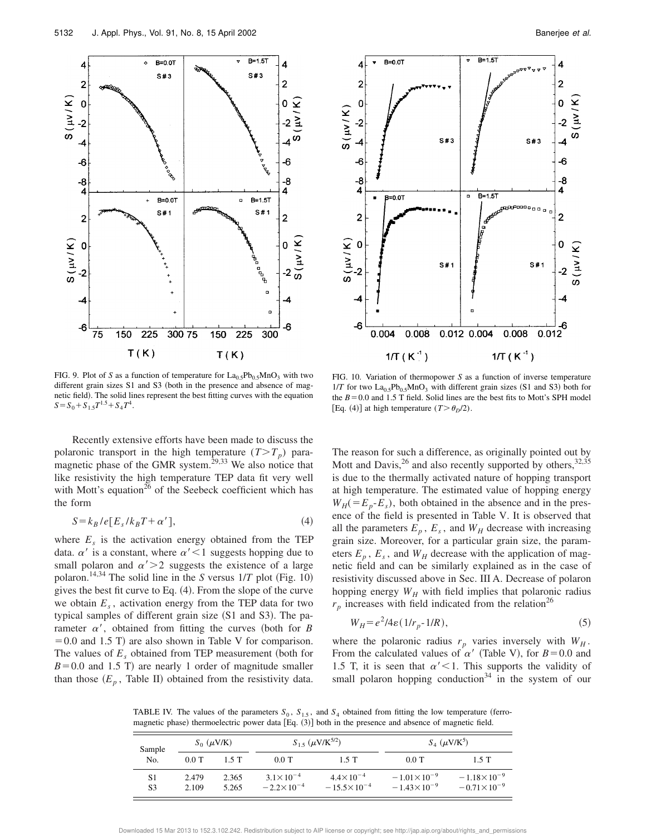![](_page_8_Figure_1.jpeg)

![](_page_8_Figure_3.jpeg)

FIG. 9. Plot of *S* as a function of temperature for  $La<sub>0.5</sub>Pb<sub>0.5</sub>MnO<sub>3</sub>$  with two different grain sizes  $S1$  and  $S3$  (both in the presence and absence of magnetic field). The solid lines represent the best fitting curves with the equation  $S = S_0 + S_{1.5}T^{1.5} + S_4T^4$ .

Recently extensive efforts have been made to discuss the polaronic transport in the high temperature  $(T>T_p)$  paramagnetic phase of the GMR system.<sup>29,33</sup> We also notice that like resistivity the high temperature TEP data fit very well with Mott's equation<sup>26</sup> of the Seebeck coefficient which has the form

$$
S = k_B / e[E_s / k_B T + \alpha'], \qquad (4)
$$

where  $E_s$  is the activation energy obtained from the TEP data.  $\alpha'$  is a constant, where  $\alpha' < 1$  suggests hopping due to small polaron and  $\alpha' > 2$  suggests the existence of a large polaron.<sup>14,34</sup> The solid line in the *S* versus  $1/T$  plot (Fig. 10) gives the best fit curve to Eq.  $(4)$ . From the slope of the curve we obtain  $E_s$ , activation energy from the TEP data for two typical samples of different grain size  $(S1$  and S3). The parameter  $\alpha'$ , obtained from fitting the curves (both for *B*  $=0.0$  and 1.5 T) are also shown in Table V for comparison. The values of  $E<sub>s</sub>$  obtained from TEP measurement (both for  $B=0.0$  and 1.5 T) are nearly 1 order of magnitude smaller than those  $(E_p)$ , Table II) obtained from the resistivity data.

FIG. 10. Variation of thermopower *S* as a function of inverse temperature  $1/T$  for two  $La<sub>0.5</sub>Pb<sub>0.5</sub>MnO<sub>3</sub>$  with different grain sizes (S1 and S3) both for the  $B=0.0$  and 1.5 T field. Solid lines are the best fits to Mott's SPH model [Eq. (4)] at high temperature  $(T > \theta_D/2)$ .

The reason for such a difference, as originally pointed out by Mott and Davis,  $^{26}$  and also recently supported by others,  $^{32,35}$ is due to the thermally activated nature of hopping transport at high temperature. The estimated value of hopping energy  $W_H$ ( $=E_p$ - $E_s$ ), both obtained in the absence and in the presence of the field is presented in Table V. It is observed that all the parameters  $E_p$ ,  $E_s$ , and  $W_H$  decrease with increasing grain size. Moreover, for a particular grain size, the parameters  $E_p$ ,  $E_s$ , and  $W_H$  decrease with the application of magnetic field and can be similarly explained as in the case of resistivity discussed above in Sec. III A. Decrease of polaron hopping energy  $W_H$  with field implies that polaronic radius  $r_p$  increases with field indicated from the relation<sup>26</sup>

$$
W_H = e^2/4\varepsilon \left( \frac{1}{r_p - 1/R} \right),\tag{5}
$$

where the polaronic radius  $r_p$  varies inversely with  $W_H$ . From the calculated values of  $\alpha'$  (Table V), for  $B=0.0$  and 1.5 T, it is seen that  $\alpha'$  < 1. This supports the validity of small polaron hopping conduction $34$  in the system of our

TABLE IV. The values of the parameters  $S_0$ ,  $S_{1,5}$ , and  $S_4$  obtained from fitting the low temperature (ferromagnetic phase) thermoelectric power data  $[Eq. (3)]$  both in the presence and absence of magnetic field.

| Sample   | $S_0$ ( $\mu$ V/K) |                | $S_{1.5}$ ( $\mu$ V/K <sup>5/2</sup> )      |                                              | $S_4$ ( $\mu$ V/K <sup>5</sup> )             |                                              |  |
|----------|--------------------|----------------|---------------------------------------------|----------------------------------------------|----------------------------------------------|----------------------------------------------|--|
| No.      | $0.0$ T            | 15T            | $0.0$ T                                     | $1.5$ T                                      | $0.0$ T                                      | $1.5$ T                                      |  |
| S1<br>S3 | 2.479<br>2.109     | 2.365<br>5.265 | $3.1 \times 10^{-4}$<br>$-2.2\times10^{-4}$ | $4.4 \times 10^{-4}$<br>$-15.5\times10^{-4}$ | $-1.01\times10^{-9}$<br>$-1.43\times10^{-9}$ | $-1.18\times10^{-9}$<br>$-0.71\times10^{-9}$ |  |

Downloaded 15 Mar 2013 to 152.3.102.242. Redistribution subject to AIP license or copyright; see http://jap.aip.org/about/rights\_and\_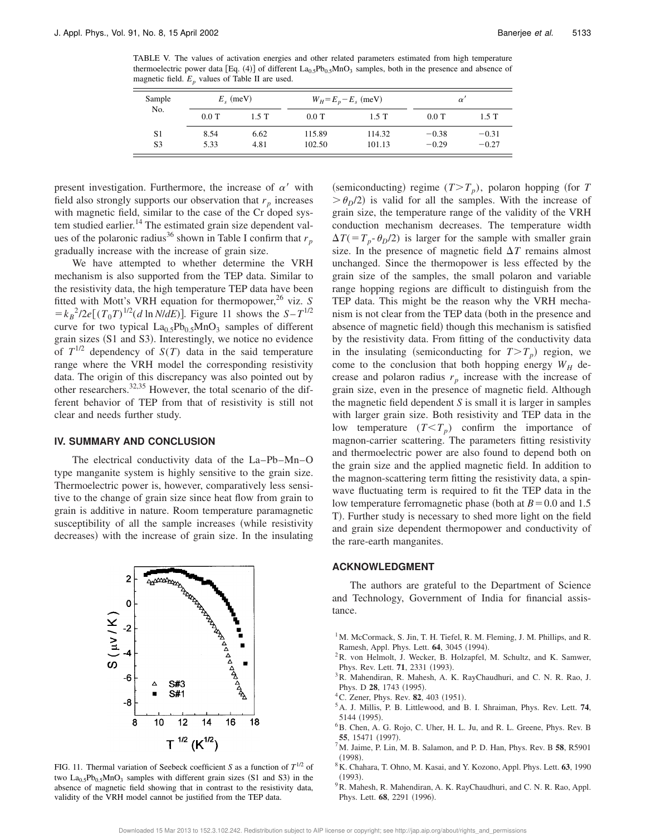TABLE V. The values of activation energies and other related parameters estimated from high temperature thermoelectric power data [Eq. (4)] of different  $La_{0.5}Pb_{0.5}MnO_3$  samples, both in the presence and absence of magnetic field.  $E_p$  values of Table II are used.

| Sample         | $E_{\rm g}$ (meV) |         | $W_H = E_p - E_s$ (meV) |        | $\alpha$ |         |
|----------------|-------------------|---------|-------------------------|--------|----------|---------|
| No.            | $0.0$ T           | $1.5$ T | $0.0$ T                 | 1.5T   | $0.0$ T  | $1.5$ T |
| S <sub>1</sub> | 8.54              | 6.62    | 115.89                  | 114.32 | $-0.38$  | $-0.31$ |
| S <sub>3</sub> | 5.33              | 4.81    | 102.50                  | 101.13 | $-0.29$  | $-0.27$ |

present investigation. Furthermore, the increase of  $\alpha'$  with field also strongly supports our observation that  $r_p$  increases with magnetic field, similar to the case of the Cr doped system studied earlier.<sup>14</sup> The estimated grain size dependent values of the polaronic radius<sup>36</sup> shown in Table I confirm that  $r_p$ gradually increase with the increase of grain size.

We have attempted to whether determine the VRH mechanism is also supported from the TEP data. Similar to the resistivity data, the high temperature TEP data have been fitted with Mott's VRH equation for thermopower,<sup>26</sup> viz. *S*  $= k_B^2/2e[(T_0T)^{1/2}(d \ln N/dE)].$  Figure 11 shows the  $S - T^{1/2}$ curve for two typical  $La<sub>0.5</sub>Pb<sub>0.5</sub>MnO<sub>3</sub>$  samples of different grain sizes  $(S1$  and  $S3)$ . Interestingly, we notice no evidence of  $T^{1/2}$  dependency of  $S(T)$  data in the said temperature range where the VRH model the corresponding resistivity data. The origin of this discrepancy was also pointed out by other researchers.32,35 However, the total scenario of the different behavior of TEP from that of resistivity is still not clear and needs further study.

#### **IV. SUMMARY AND CONCLUSION**

The electrical conductivity data of the La–Pb–Mn–O type manganite system is highly sensitive to the grain size. Thermoelectric power is, however, comparatively less sensitive to the change of grain size since heat flow from grain to grain is additive in nature. Room temperature paramagnetic susceptibility of all the sample increases (while resistivity decreases) with the increase of grain size. In the insulating

![](_page_9_Figure_8.jpeg)

FIG. 11. Thermal variation of Seebeck coefficient *S* as a function of  $T^{1/2}$  of two  $La<sub>0.5</sub>Pb<sub>0.5</sub>MnO<sub>3</sub>$  samples with different grain sizes (S1 and S3) in the absence of magnetic field showing that in contrast to the resistivity data, validity of the VRH model cannot be justified from the TEP data.

(semiconducting) regime  $(T>T_p)$ , polaron hopping (for *T*  $\geq \theta_p/2$  is valid for all the samples. With the increase of grain size, the temperature range of the validity of the VRH conduction mechanism decreases. The temperature width  $\Delta T$ ( $=T_p$ - $\theta_D$ /2) is larger for the sample with smaller grain size. In the presence of magnetic field  $\Delta T$  remains almost unchanged. Since the thermopower is less effected by the grain size of the samples, the small polaron and variable range hopping regions are difficult to distinguish from the TEP data. This might be the reason why the VRH mechanism is not clear from the TEP data (both in the presence and absence of magnetic field) though this mechanism is satisfied by the resistivity data. From fitting of the conductivity data in the insulating (semiconducting for  $T>T_p$ ) region, we come to the conclusion that both hopping energy  $W_H$  decrease and polaron radius  $r_p$  increase with the increase of grain size, even in the presence of magnetic field. Although the magnetic field dependent *S* is small it is larger in samples with larger grain size. Both resistivity and TEP data in the low temperature  $(T < T_p)$  confirm the importance of magnon-carrier scattering. The parameters fitting resistivity and thermoelectric power are also found to depend both on the grain size and the applied magnetic field. In addition to the magnon-scattering term fitting the resistivity data, a spinwave fluctuating term is required to fit the TEP data in the low temperature ferromagnetic phase (both at  $B=0.0$  and 1.5 T). Further study is necessary to shed more light on the field and grain size dependent thermopower and conductivity of the rare-earth manganites.

#### **ACKNOWLEDGMENT**

The authors are grateful to the Department of Science and Technology, Government of India for financial assistance.

- <sup>1</sup>M. McCormack, S. Jin, T. H. Tiefel, R. M. Fleming, J. M. Phillips, and R. Ramesh, Appl. Phys. Lett. **64**, 3045 (1994).
- ${}^{2}R$ . von Helmolt, J. Wecker, B. Holzapfel, M. Schultz, and K. Samwer, Phys. Rev. Lett. **71**, 2331 (1993).
- <sup>3</sup>R. Mahendiran, R. Mahesh, A. K. RayChaudhuri, and C. N. R. Rao, J. Phys. D 28, 1743 (1995).
- ${}^{4}$ C. Zener, Phys. Rev. **82**, 403 (1951).
- <sup>5</sup>A. J. Millis, P. B. Littlewood, and B. I. Shraiman, Phys. Rev. Lett. **74**, 5144 (1995).
- <sup>6</sup>B. Chen, A. G. Rojo, C. Uher, H. L. Ju, and R. L. Greene, Phys. Rev. B **55**, 15471 (1997).
- <sup>7</sup>M. Jaime, P. Lin, M. B. Salamon, and P. D. Han, Phys. Rev. B **58**, R5901  $(1998)$
- <sup>8</sup>K. Chahara, T. Ohno, M. Kasai, and Y. Kozono, Appl. Phys. Lett. **63**, 1990  $(1993).$
- <sup>9</sup>R. Mahesh, R. Mahendiran, A. K. RayChaudhuri, and C. N. R. Rao, Appl. Phys. Lett. 68, 2291 (1996).